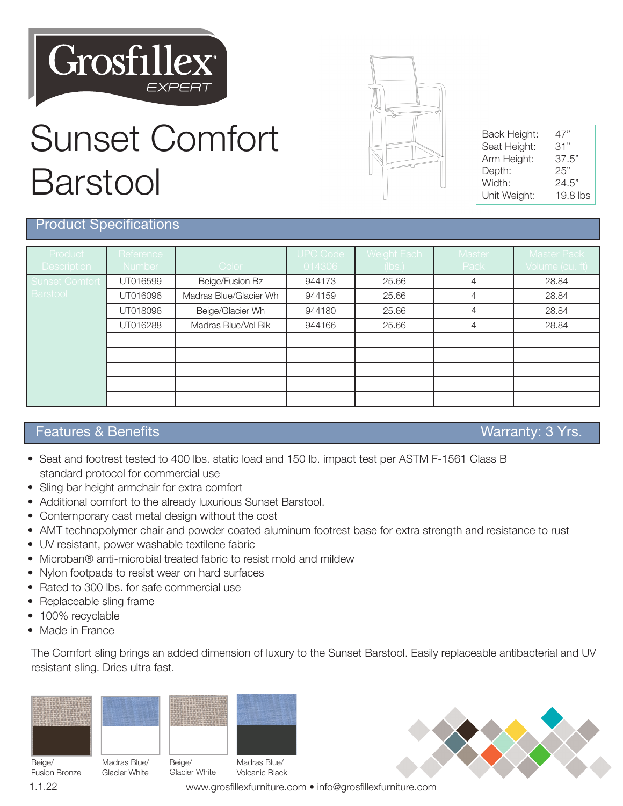

# Sunset Comfort Barstool



| Back Height:                | 47"<br>31" |
|-----------------------------|------------|
| Seat Height:<br>Arm Height: | 37.5"      |
| Depth:                      | 25"        |
| Width:                      | 24.5"      |
| Unit Weight:                | $19.8$ lbs |

### Product Specifications

| Product<br><b>Description</b> | Reference<br>Number | Color                  | <b>UPC Code</b><br>014306 | Weight Each<br>(lbs.) | Master<br>Pack | <b>Master Pack</b><br>Volume (cu. ft) |
|-------------------------------|---------------------|------------------------|---------------------------|-----------------------|----------------|---------------------------------------|
| <b>Sunset Comfort</b>         | UT016599            | Beige/Fusion Bz        | 944173                    | 25.66                 | 4              | 28.84                                 |
| Barstool                      | UT016096            | Madras Blue/Glacier Wh | 944159                    | 25.66                 | 4              | 28.84                                 |
|                               | UT018096            | Beige/Glacier Wh       | 944180                    | 25.66                 | $\overline{4}$ | 28.84                                 |
|                               | UT016288            | Madras Blue/Vol Blk    | 944166                    | 25.66                 | 4              | 28.84                                 |
|                               |                     |                        |                           |                       |                |                                       |
|                               |                     |                        |                           |                       |                |                                       |
|                               |                     |                        |                           |                       |                |                                       |
|                               |                     |                        |                           |                       |                |                                       |
|                               |                     |                        |                           |                       |                |                                       |

### Features & Benefits Warranty: 3 Yrs.

- Seat and footrest tested to 400 lbs. static load and 150 lb. impact test per ASTM F-1561 Class B standard protocol for commercial use
- Sling bar height armchair for extra comfort
- Additional comfort to the already luxurious Sunset Barstool.
- Contemporary cast metal design without the cost
- AMT technopolymer chair and powder coated aluminum footrest base for extra strength and resistance to rust
- UV resistant, power washable textilene fabric
- Microban® anti-microbial treated fabric to resist mold and mildew
- Nylon footpads to resist wear on hard surfaces
- Rated to 300 lbs. for safe commercial use
- Replaceable sling frame
- 100% recyclable
- Made in France

The Comfort sling brings an added dimension of luxury to the Sunset Barstool. Easily replaceable antibacterial and UV resistant sling. Dries ultra fast.

| ME-28<br>din Belletinii<br>es Elect<br>um.<br>÷<br>$-265$ | the displays and by the bottom compared to<br>- 48<br>byling by by byling<br>тŵ<br>$-100$<br>the divide all official and of<br><b>TERTIFICAL</b><br>$-100$<br><b>Britain</b><br>γŇ<br>First test rests | <b>Thursday</b><br>前通 图像 网络<br>ч'n<br>w<br>offer files fit.<br>with roter built<br>浙市<br><b>The Minds at the</b><br>divilly diville | . .<br>bellest in for<br><b>西门新门的子的</b><br><b>ENTIRED TARS</b><br><b>Bridding</b><br>ч<br><b>TOPTOP</b><br><b>Civillet</b> G<br>m<br>dir dryl<br>i<br>the lest trull<br>46<br>idio dito<br>Hacilton I red ind |
|-----------------------------------------------------------|--------------------------------------------------------------------------------------------------------------------------------------------------------------------------------------------------------|-------------------------------------------------------------------------------------------------------------------------------------|---------------------------------------------------------------------------------------------------------------------------------------------------------------------------------------------------------------|
|                                                           |                                                                                                                                                                                                        |                                                                                                                                     |                                                                                                                                                                                                               |

| ras Blue/ | Beige/ |
|-----------|--------|

| Beige/ |                      |
|--------|----------------------|
|        | <b>Fusion Bronze</b> |
| 1.1.22 |                      |

Madras Blue/ Glacier White



Glacier White Volcanic Black

www.grosfillexfurniture.com • info@grosfillexfurniture.com